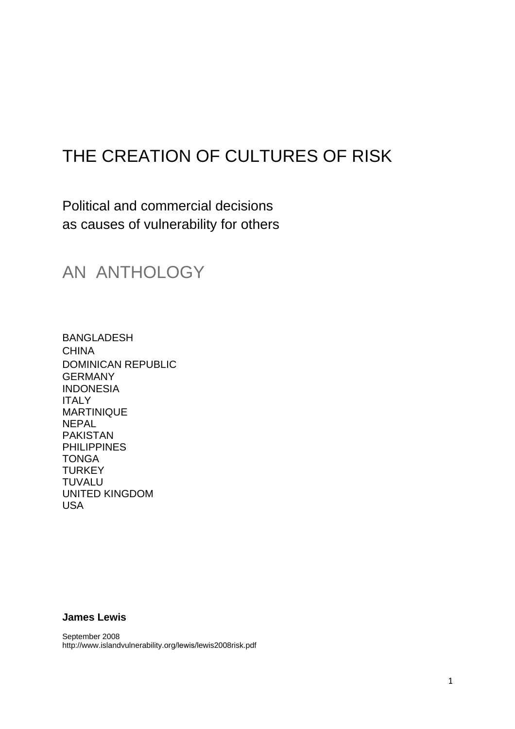# THE CREATION OF CULTURES OF RISK

Political and commercial decisions as causes of vulnerability for others

## AN ANTHOLOGY

BANGLADESH CHINA DOMINICAN REPUBLIC GERMANY INDONESIA ITALY MARTINIQUE **NEPAL** PAKISTAN PHILIPPINES **TONGA TURKEY** TUVALU UNITED KINGDOM USA

## **James Lewis**

September 2008 http://www.islandvulnerability.org/lewis/lewis2008risk.pdf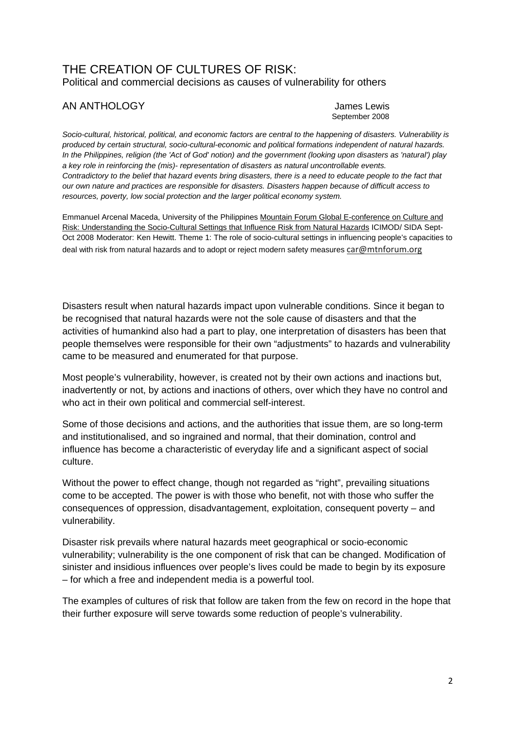## THE CREATION OF CULTURES OF RISK: Political and commercial decisions as causes of vulnerability for others

## AN ANTHOLOGY **AN ANTHOLOGY CONSUMING AN ANTHOLOGY**

September 2008

*Socio-cultural, historical, political, and economic factors are central to the happening of disasters. Vulnerability is produced by certain structural, socio-cultural-economic and political formations independent of natural hazards. In the Philippines, religion (the 'Act of God' notion) and the government (looking upon disasters as 'natural') play a key role in reinforcing the (mis)- representation of disasters as natural uncontrollable events.*  Contradictory to the belief that hazard events bring disasters, there is a need to educate people to the fact that *our own nature and practices are responsible for disasters. Disasters happen because of difficult access to resources, poverty, low social protection and the larger political economy system.* 

Emmanuel Arcenal Maceda, University of the Philippines Mountain Forum Global E-conference on Culture and Risk: Understanding the Socio-Cultural Settings that Influence Risk from Natural Hazards ICIMOD/ SIDA Sept-Oct 2008 Moderator: Ken Hewitt. Theme 1: The role of socio-cultural settings in influencing people's capacities to deal with risk from natural hazards and to adopt or reject modern safety measures car@mtnforum.org

Disasters result when natural hazards impact upon vulnerable conditions. Since it began to be recognised that natural hazards were not the sole cause of disasters and that the activities of humankind also had a part to play, one interpretation of disasters has been that people themselves were responsible for their own "adjustments" to hazards and vulnerability came to be measured and enumerated for that purpose.

Most people's vulnerability, however, is created not by their own actions and inactions but, inadvertently or not, by actions and inactions of others, over which they have no control and who act in their own political and commercial self-interest.

Some of those decisions and actions, and the authorities that issue them, are so long-term and institutionalised, and so ingrained and normal, that their domination, control and influence has become a characteristic of everyday life and a significant aspect of social culture.

Without the power to effect change, though not regarded as "right", prevailing situations come to be accepted. The power is with those who benefit, not with those who suffer the consequences of oppression, disadvantagement, exploitation, consequent poverty – and vulnerability.

Disaster risk prevails where natural hazards meet geographical or socio-economic vulnerability; vulnerability is the one component of risk that can be changed. Modification of sinister and insidious influences over people's lives could be made to begin by its exposure – for which a free and independent media is a powerful tool.

The examples of cultures of risk that follow are taken from the few on record in the hope that their further exposure will serve towards some reduction of people's vulnerability.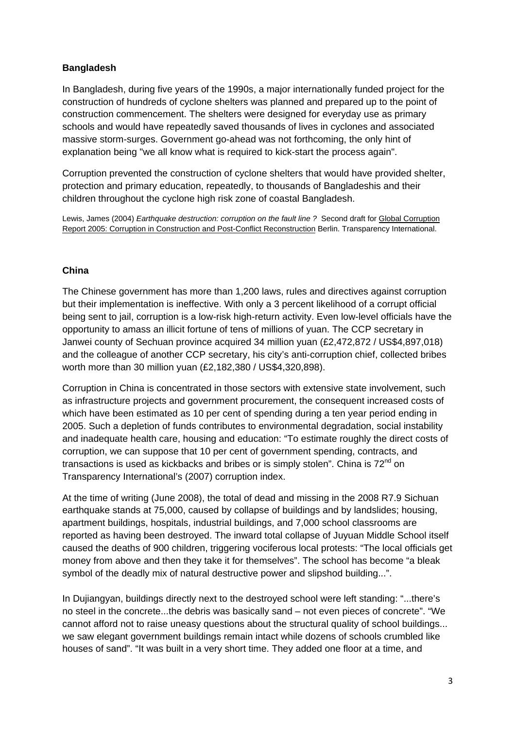## **Bangladesh**

In Bangladesh, during five years of the 1990s, a major internationally funded project for the construction of hundreds of cyclone shelters was planned and prepared up to the point of construction commencement. The shelters were designed for everyday use as primary schools and would have repeatedly saved thousands of lives in cyclones and associated massive storm-surges. Government go-ahead was not forthcoming, the only hint of explanation being "we all know what is required to kick-start the process again".

Corruption prevented the construction of cyclone shelters that would have provided shelter, protection and primary education, repeatedly, to thousands of Bangladeshis and their children throughout the cyclone high risk zone of coastal Bangladesh.

Lewis, James (2004) *Earthquake destruction: corruption on the fault line ?* Second draft for Global Corruption Report 2005: Corruption in Construction and Post-Conflict Reconstruction Berlin. Transparency International.

## **China**

The Chinese government has more than 1,200 laws, rules and directives against corruption but their implementation is ineffective. With only a 3 percent likelihood of a corrupt official being sent to jail, corruption is a low-risk high-return activity. Even low-level officials have the opportunity to amass an illicit fortune of tens of millions of yuan. The CCP secretary in Janwei county of Sechuan province acquired 34 million yuan (£2,472,872 / US\$4,897,018) and the colleague of another CCP secretary, his city's anti-corruption chief, collected bribes worth more than 30 million yuan (£2,182,380 / US\$4,320,898).

Corruption in China is concentrated in those sectors with extensive state involvement, such as infrastructure projects and government procurement, the consequent increased costs of which have been estimated as 10 per cent of spending during a ten year period ending in 2005. Such a depletion of funds contributes to environmental degradation, social instability and inadequate health care, housing and education: "To estimate roughly the direct costs of corruption, we can suppose that 10 per cent of government spending, contracts, and transactions is used as kickbacks and bribes or is simply stolen". China is 72<sup>nd</sup> on Transparency International's (2007) corruption index.

At the time of writing (June 2008), the total of dead and missing in the 2008 R7.9 Sichuan earthquake stands at 75,000, caused by collapse of buildings and by landslides; housing, apartment buildings, hospitals, industrial buildings, and 7,000 school classrooms are reported as having been destroyed. The inward total collapse of Juyuan Middle School itself caused the deaths of 900 children, triggering vociferous local protests: "The local officials get money from above and then they take it for themselves". The school has become "a bleak symbol of the deadly mix of natural destructive power and slipshod building...".

In Dujiangyan, buildings directly next to the destroyed school were left standing: "...there's no steel in the concrete...the debris was basically sand – not even pieces of concrete". "We cannot afford not to raise uneasy questions about the structural quality of school buildings... we saw elegant government buildings remain intact while dozens of schools crumbled like houses of sand". "It was built in a very short time. They added one floor at a time, and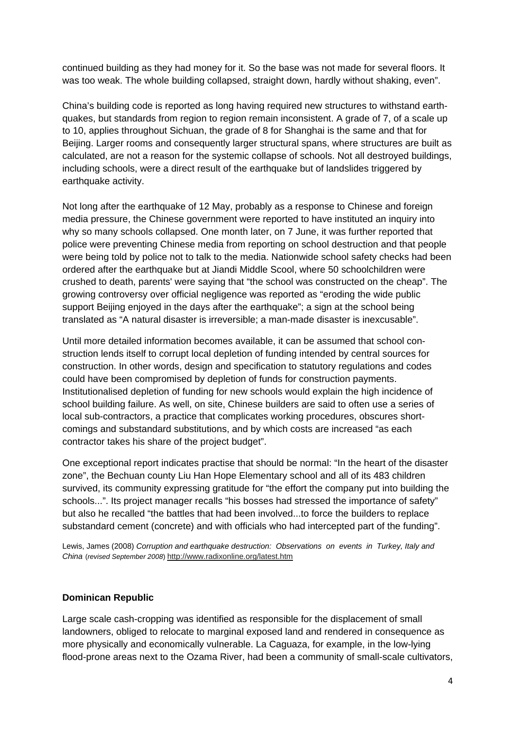continued building as they had money for it. So the base was not made for several floors. It was too weak. The whole building collapsed, straight down, hardly without shaking, even".

China's building code is reported as long having required new structures to withstand earthquakes, but standards from region to region remain inconsistent. A grade of 7, of a scale up to 10, applies throughout Sichuan, the grade of 8 for Shanghai is the same and that for Beijing. Larger rooms and consequently larger structural spans, where structures are built as calculated, are not a reason for the systemic collapse of schools. Not all destroyed buildings, including schools, were a direct result of the earthquake but of landslides triggered by earthquake activity.

Not long after the earthquake of 12 May, probably as a response to Chinese and foreign media pressure, the Chinese government were reported to have instituted an inquiry into why so many schools collapsed. One month later, on 7 June, it was further reported that police were preventing Chinese media from reporting on school destruction and that people were being told by police not to talk to the media. Nationwide school safety checks had been ordered after the earthquake but at Jiandi Middle Scool, where 50 schoolchildren were crushed to death, parents' were saying that "the school was constructed on the cheap". The growing controversy over official negligence was reported as "eroding the wide public support Beijing enjoyed in the days after the earthquake"; a sign at the school being translated as "A natural disaster is irreversible; a man-made disaster is inexcusable".

Until more detailed information becomes available, it can be assumed that school construction lends itself to corrupt local depletion of funding intended by central sources for construction. In other words, design and specification to statutory regulations and codes could have been compromised by depletion of funds for construction payments. Institutionalised depletion of funding for new schools would explain the high incidence of school building failure. As well, on site, Chinese builders are said to often use a series of local sub-contractors, a practice that complicates working procedures, obscures shortcomings and substandard substitutions, and by which costs are increased "as each contractor takes his share of the project budget".

One exceptional report indicates practise that should be normal: "In the heart of the disaster zone", the Bechuan county Liu Han Hope Elementary school and all of its 483 children survived, its community expressing gratitude for "the effort the company put into building the schools...". Its project manager recalls "his bosses had stressed the importance of safety" but also he recalled "the battles that had been involved...to force the builders to replace substandard cement (concrete) and with officials who had intercepted part of the funding".

Lewis, James (2008) *Corruption and earthquake destruction: Observations on events in Turkey, Italy and China* (*revised September 2008*) http://www.radixonline.org/latest.htm

#### **Dominican Republic**

Large scale cash-cropping was identified as responsible for the displacement of small landowners, obliged to relocate to marginal exposed land and rendered in consequence as more physically and economically vulnerable. La Caguaza, for example, in the low-lying flood-prone areas next to the Ozama River, had been a community of small-scale cultivators,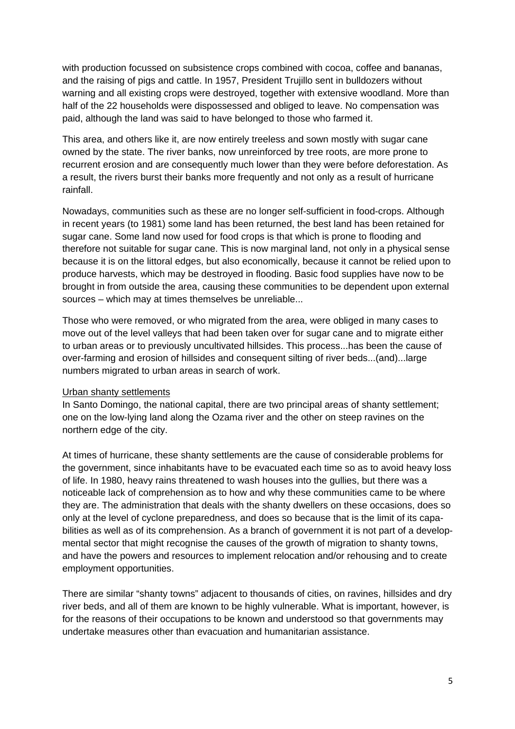with production focussed on subsistence crops combined with cocoa, coffee and bananas, and the raising of pigs and cattle. In 1957, President Trujillo sent in bulldozers without warning and all existing crops were destroyed, together with extensive woodland. More than half of the 22 households were dispossessed and obliged to leave. No compensation was paid, although the land was said to have belonged to those who farmed it.

This area, and others like it, are now entirely treeless and sown mostly with sugar cane owned by the state. The river banks, now unreinforced by tree roots, are more prone to recurrent erosion and are consequently much lower than they were before deforestation. As a result, the rivers burst their banks more frequently and not only as a result of hurricane rainfall.

Nowadays, communities such as these are no longer self-sufficient in food-crops. Although in recent years (to 1981) some land has been returned, the best land has been retained for sugar cane. Some land now used for food crops is that which is prone to flooding and therefore not suitable for sugar cane. This is now marginal land, not only in a physical sense because it is on the littoral edges, but also economically, because it cannot be relied upon to produce harvests, which may be destroyed in flooding. Basic food supplies have now to be brought in from outside the area, causing these communities to be dependent upon external sources – which may at times themselves be unreliable...

Those who were removed, or who migrated from the area, were obliged in many cases to move out of the level valleys that had been taken over for sugar cane and to migrate either to urban areas or to previously uncultivated hillsides. This process...has been the cause of over-farming and erosion of hillsides and consequent silting of river beds...(and)...large numbers migrated to urban areas in search of work.

#### Urban shanty settlements

In Santo Domingo, the national capital, there are two principal areas of shanty settlement; one on the low-lying land along the Ozama river and the other on steep ravines on the northern edge of the city.

At times of hurricane, these shanty settlements are the cause of considerable problems for the government, since inhabitants have to be evacuated each time so as to avoid heavy loss of life. In 1980, heavy rains threatened to wash houses into the gullies, but there was a noticeable lack of comprehension as to how and why these communities came to be where they are. The administration that deals with the shanty dwellers on these occasions, does so only at the level of cyclone preparedness, and does so because that is the limit of its capabilities as well as of its comprehension. As a branch of government it is not part of a developmental sector that might recognise the causes of the growth of migration to shanty towns, and have the powers and resources to implement relocation and/or rehousing and to create employment opportunities.

There are similar "shanty towns" adjacent to thousands of cities, on ravines, hillsides and dry river beds, and all of them are known to be highly vulnerable. What is important, however, is for the reasons of their occupations to be known and understood so that governments may undertake measures other than evacuation and humanitarian assistance.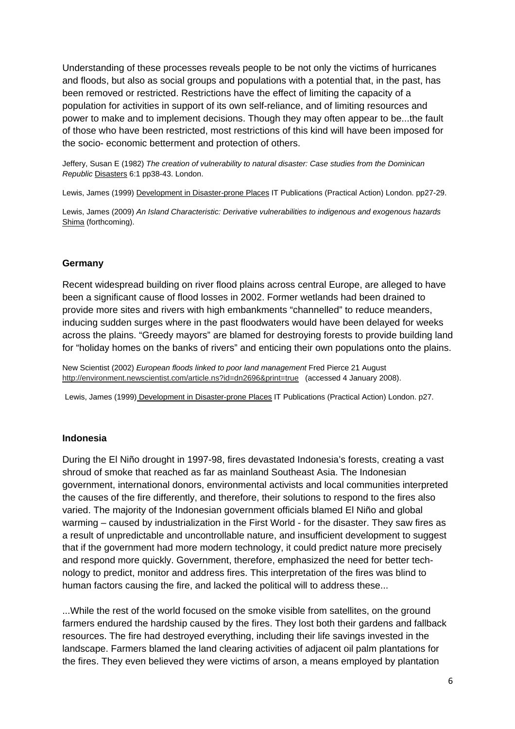Understanding of these processes reveals people to be not only the victims of hurricanes and floods, but also as social groups and populations with a potential that, in the past, has been removed or restricted. Restrictions have the effect of limiting the capacity of a population for activities in support of its own self-reliance, and of limiting resources and power to make and to implement decisions. Though they may often appear to be...the fault of those who have been restricted, most restrictions of this kind will have been imposed for the socio- economic betterment and protection of others.

Jeffery, Susan E (1982) *The creation of vulnerability to natural disaster: Case studies from the Dominican Republic* Disasters 6:1 pp38-43. London.

Lewis, James (1999) Development in Disaster-prone Places IT Publications (Practical Action) London. pp27-29.

Lewis, James (2009) *An Island Characteristic: Derivative vulnerabilities to indigenous and exogenous hazards*  Shima (forthcoming).

#### **Germany**

Recent widespread building on river flood plains across central Europe, are alleged to have been a significant cause of flood losses in 2002. Former wetlands had been drained to provide more sites and rivers with high embankments "channelled" to reduce meanders, inducing sudden surges where in the past floodwaters would have been delayed for weeks across the plains. "Greedy mayors" are blamed for destroying forests to provide building land for "holiday homes on the banks of rivers" and enticing their own populations onto the plains.

New Scientist (2002) *European floods linked to poor land management* Fred Pierce 21 August http://environment.newscientist.com/article.ns?id=dn2696&print=true (accessed 4 January 2008).

Lewis, James (1999) Development in Disaster-prone Places IT Publications (Practical Action) London. p27.

#### **Indonesia**

During the El Niño drought in 1997-98, fires devastated Indonesia's forests, creating a vast shroud of smoke that reached as far as mainland Southeast Asia. The Indonesian government, international donors, environmental activists and local communities interpreted the causes of the fire differently, and therefore, their solutions to respond to the fires also varied. The majority of the Indonesian government officials blamed El Niño and global warming – caused by industrialization in the First World - for the disaster. They saw fires as a result of unpredictable and uncontrollable nature, and insufficient development to suggest that if the government had more modern technology, it could predict nature more precisely and respond more quickly. Government, therefore, emphasized the need for better technology to predict, monitor and address fires. This interpretation of the fires was blind to human factors causing the fire, and lacked the political will to address these...

...While the rest of the world focused on the smoke visible from satellites, on the ground farmers endured the hardship caused by the fires. They lost both their gardens and fallback resources. The fire had destroyed everything, including their life savings invested in the landscape. Farmers blamed the land clearing activities of adjacent oil palm plantations for the fires. They even believed they were victims of arson, a means employed by plantation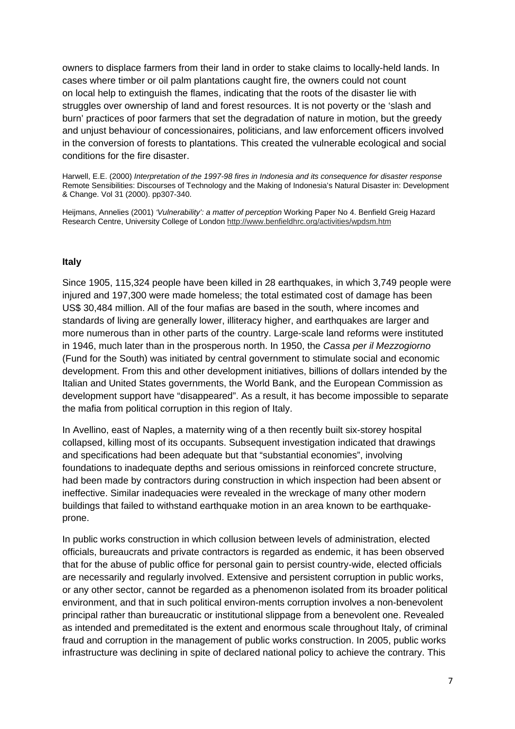owners to displace farmers from their land in order to stake claims to locally-held lands. In cases where timber or oil palm plantations caught fire, the owners could not count on local help to extinguish the flames, indicating that the roots of the disaster lie with struggles over ownership of land and forest resources. It is not poverty or the 'slash and burn' practices of poor farmers that set the degradation of nature in motion, but the greedy and unjust behaviour of concessionaires, politicians, and law enforcement officers involved in the conversion of forests to plantations. This created the vulnerable ecological and social conditions for the fire disaster.

Harwell, E.E. (2000) *Interpretation of the 1997-98 fires in Indonesia and its consequence for disaster response* Remote Sensibilities: Discourses of Technology and the Making of Indonesia's Natural Disaster in: Development & Change. Vol 31 (2000). pp307-340.

Heijmans, Annelies (2001) *'Vulnerability': a matter of perception* Working Paper No 4. Benfield Greig Hazard Research Centre, University College of London http://www.benfieldhrc.org/activities/wpdsm.htm

#### **Italy**

Since 1905, 115,324 people have been killed in 28 earthquakes, in which 3,749 people were injured and 197,300 were made homeless; the total estimated cost of damage has been US\$ 30,484 million. All of the four mafias are based in the south, where incomes and standards of living are generally lower, illiteracy higher, and earthquakes are larger and more numerous than in other parts of the country. Large-scale land reforms were instituted in 1946, much later than in the prosperous north. In 1950, the *Cassa per il Mezzogiorno* (Fund for the South) was initiated by central government to stimulate social and economic development. From this and other development initiatives, billions of dollars intended by the Italian and United States governments, the World Bank, and the European Commission as development support have "disappeared". As a result, it has become impossible to separate the mafia from political corruption in this region of Italy.

In Avellino, east of Naples, a maternity wing of a then recently built six-storey hospital collapsed, killing most of its occupants. Subsequent investigation indicated that drawings and specifications had been adequate but that "substantial economies", involving foundations to inadequate depths and serious omissions in reinforced concrete structure, had been made by contractors during construction in which inspection had been absent or ineffective. Similar inadequacies were revealed in the wreckage of many other modern buildings that failed to withstand earthquake motion in an area known to be earthquakeprone.

In public works construction in which collusion between levels of administration, elected officials, bureaucrats and private contractors is regarded as endemic, it has been observed that for the abuse of public office for personal gain to persist country-wide, elected officials are necessarily and regularly involved. Extensive and persistent corruption in public works, or any other sector, cannot be regarded as a phenomenon isolated from its broader political environment, and that in such political environ-ments corruption involves a non-benevolent principal rather than bureaucratic or institutional slippage from a benevolent one. Revealed as intended and premeditated is the extent and enormous scale throughout Italy, of criminal fraud and corruption in the management of public works construction. In 2005, public works infrastructure was declining in spite of declared national policy to achieve the contrary. This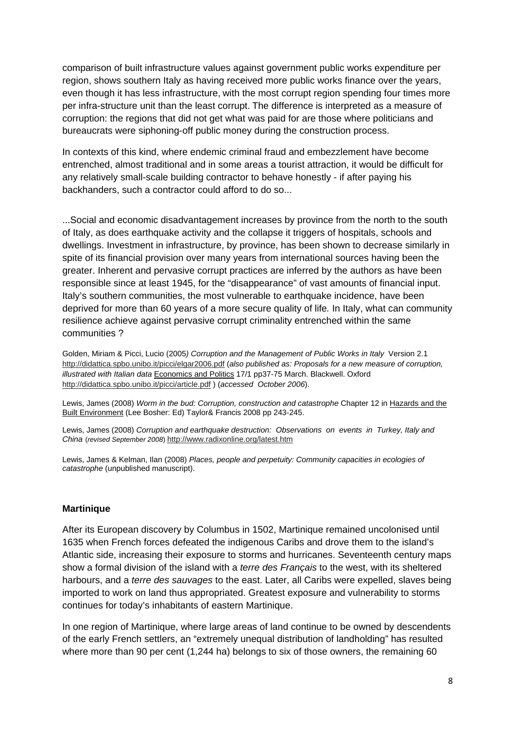comparison of built infrastructure values against government public works expenditure per region, shows southern Italy as having received more public works finance over the years, even though it has less infrastructure, with the most corrupt region spending four times more per infra-structure unit than the least corrupt. The difference is interpreted as a measure of corruption: the regions that did not get what was paid for are those where politicians and bureaucrats were siphoning-off public money during the construction process.

In contexts of this kind, where endemic criminal fraud and embezzlement have become entrenched, almost traditional and in some areas a tourist attraction, it would be difficult for any relatively small-scale building contractor to behave honestly - if after paying his backhanders, such a contractor could afford to do so...

...Social and economic disadvantagement increases by province from the north to the south of Italy, as does earthquake activity and the collapse it triggers of hospitals, schools and dwellings. Investment in infrastructure, by province, has been shown to decrease similarly in spite of its financial provision over many years from international sources having been the greater. Inherent and pervasive corrupt practices are inferred by the authors as have been responsible since at least 1945, for the "disappearance" of vast amounts of financial input. Italy's southern communities, the most vulnerable to earthquake incidence, have been deprived for more than 60 years of a more secure quality of life*.* In Italy, what can community resilience achieve against pervasive corrupt criminality entrenched within the same communities ?

Golden, Miriam & Picci, Lucio (2005*) Corruption and the Management of Public Works in Italy* Version 2.1 http://didattica.spbo.unibo.it/picci/elgar2006.pdf (*also published as: Proposals for a new measure of corruption, illustrated with Italian data* Economics and Politics 17/1 pp37-75 March. Blackwell. Oxford http://didattica.spbo.unibo.it/picci/article.pdf ) (*accessed October 2006*).

Lewis, James (2008) *Worm in the bud: Corruption, construction and catastrophe* Chapter 12 in Hazards and the Built Environment (Lee Bosher: Ed) Taylor& Francis 2008 pp 243-245.

Lewis, James (2008) *Corruption and earthquake destruction: Observations on events in Turkey, Italy and China* (*revised September 2008*) http://www.radixonline.org/latest.htm

Lewis, James & Kelman, Ilan (2008) *Places, people and perpetuity: Community capacities in ecologies of catastrophe* (unpublished manuscript).

#### **Martinique**

After its European discovery by Columbus in 1502, Martinique remained uncolonised until 1635 when French forces defeated the indigenous Caribs and drove them to the island's Atlantic side, increasing their exposure to storms and hurricanes. Seventeenth century maps show a formal division of the island with a *terre des Français* to the west, with its sheltered harbours, and a *terre des sauvages* to the east. Later, all Caribs were expelled, slaves being imported to work on land thus appropriated. Greatest exposure and vulnerability to storms continues for today's inhabitants of eastern Martinique.

In one region of Martinique, where large areas of land continue to be owned by descendents of the early French settlers, an "extremely unequal distribution of landholding" has resulted where more than 90 per cent (1,244 ha) belongs to six of those owners, the remaining 60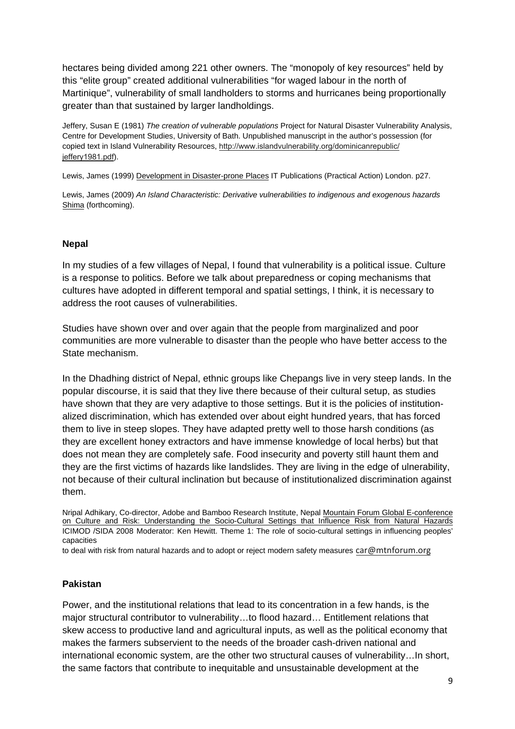hectares being divided among 221 other owners. The "monopoly of key resources" held by this "elite group" created additional vulnerabilities "for waged labour in the north of Martinique", vulnerability of small landholders to storms and hurricanes being proportionally greater than that sustained by larger landholdings.

Jeffery, Susan E (1981) *The creation of vulnerable populations* Project for Natural Disaster Vulnerability Analysis, Centre for Development Studies, University of Bath. Unpublished manuscript in the author's possession (for copied text in Island Vulnerability Resources, http://www.islandvulnerability.org/dominicanrepublic/ jeffery1981.pdf).

Lewis, James (1999) Development in Disaster-prone Places IT Publications (Practical Action) London. p27.

Lewis, James (2009) *An Island Characteristic: Derivative vulnerabilities to indigenous and exogenous hazards*  Shima (forthcoming).

#### **Nepal**

In my studies of a few villages of Nepal, I found that vulnerability is a political issue. Culture is a response to politics. Before we talk about preparedness or coping mechanisms that cultures have adopted in different temporal and spatial settings, I think, it is necessary to address the root causes of vulnerabilities.

Studies have shown over and over again that the people from marginalized and poor communities are more vulnerable to disaster than the people who have better access to the State mechanism.

In the Dhadhing district of Nepal, ethnic groups like Chepangs live in very steep lands. In the popular discourse, it is said that they live there because of their cultural setup, as studies have shown that they are very adaptive to those settings. But it is the policies of institutionalized discrimination, which has extended over about eight hundred years, that has forced them to live in steep slopes. They have adapted pretty well to those harsh conditions (as they are excellent honey extractors and have immense knowledge of local herbs) but that does not mean they are completely safe. Food insecurity and poverty still haunt them and they are the first victims of hazards like landslides. They are living in the edge of ulnerability, not because of their cultural inclination but because of institutionalized discrimination against them.

Nripal Adhikary, Co-director, Adobe and Bamboo Research Institute, Nepal Mountain Forum Global E-conference on Culture and Risk: Understanding the Socio-Cultural Settings that Influence Risk from Natural Hazards ICIMOD /SIDA 2008 Moderator: Ken Hewitt. Theme 1: The role of socio-cultural settings in influencing peoples' capacities

to deal with risk from natural hazards and to adopt or reject modern safety measures car@mtnforum.org

#### **Pakistan**

Power, and the institutional relations that lead to its concentration in a few hands, is the major structural contributor to vulnerability…to flood hazard… Entitlement relations that skew access to productive land and agricultural inputs, as well as the political economy that makes the farmers subservient to the needs of the broader cash-driven national and international economic system, are the other two structural causes of vulnerability…In short, the same factors that contribute to inequitable and unsustainable development at the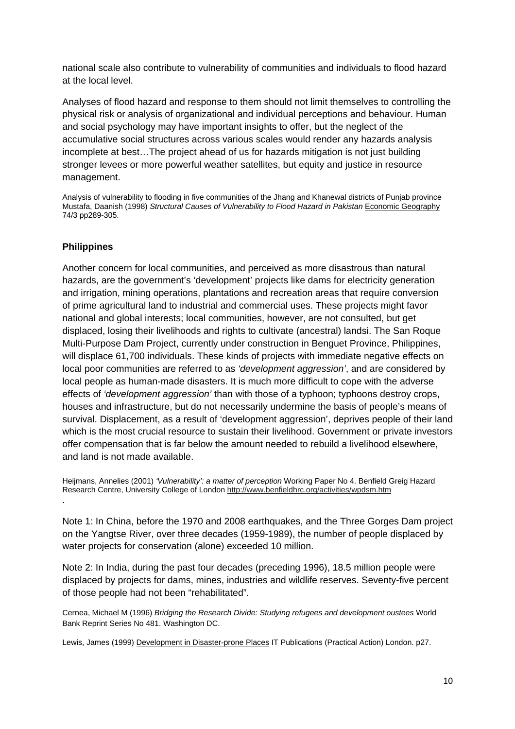national scale also contribute to vulnerability of communities and individuals to flood hazard at the local level.

Analyses of flood hazard and response to them should not limit themselves to controlling the physical risk or analysis of organizational and individual perceptions and behaviour. Human and social psychology may have important insights to offer, but the neglect of the accumulative social structures across various scales would render any hazards analysis incomplete at best…The project ahead of us for hazards mitigation is not just building stronger levees or more powerful weather satellites, but equity and justice in resource management.

Analysis of vulnerability to flooding in five communities of the Jhang and Khanewal districts of Punjab province Mustafa, Daanish (1998) *Structural Causes of Vulnerability to Flood Hazard in Pakistan* Economic Geography 74/3 pp289-305.

## **Philippines**

Another concern for local communities, and perceived as more disastrous than natural hazards, are the government's 'development' projects like dams for electricity generation and irrigation, mining operations, plantations and recreation areas that require conversion of prime agricultural land to industrial and commercial uses. These projects might favor national and global interests; local communities, however, are not consulted, but get displaced, losing their livelihoods and rights to cultivate (ancestral) landsi. The San Roque Multi-Purpose Dam Project, currently under construction in Benguet Province, Philippines, will displace 61,700 individuals. These kinds of projects with immediate negative effects on local poor communities are referred to as *'development aggression'*, and are considered by local people as human-made disasters. It is much more difficult to cope with the adverse effects of *'development aggression'* than with those of a typhoon; typhoons destroy crops, houses and infrastructure, but do not necessarily undermine the basis of people's means of survival. Displacement, as a result of 'development aggression', deprives people of their land which is the most crucial resource to sustain their livelihood. Government or private investors offer compensation that is far below the amount needed to rebuild a livelihood elsewhere, and land is not made available.

Heijmans, Annelies (2001) *'Vulnerability': a matter of perception* Working Paper No 4. Benfield Greig Hazard Research Centre, University College of London http://www.benfieldhrc.org/activities/wpdsm.htm .

Note 1: In China, before the 1970 and 2008 earthquakes, and the Three Gorges Dam project on the Yangtse River, over three decades (1959-1989), the number of people displaced by water projects for conservation (alone) exceeded 10 million.

Note 2: In India, during the past four decades (preceding 1996), 18.5 million people were displaced by projects for dams, mines, industries and wildlife reserves. Seventy-five percent of those people had not been "rehabilitated".

Cernea, Michael M (1996) *Bridging the Research Divide: Studying refugees and development oustees* World Bank Reprint Series No 481. Washington DC.

Lewis, James (1999) Development in Disaster-prone Places IT Publications (Practical Action) London. p27.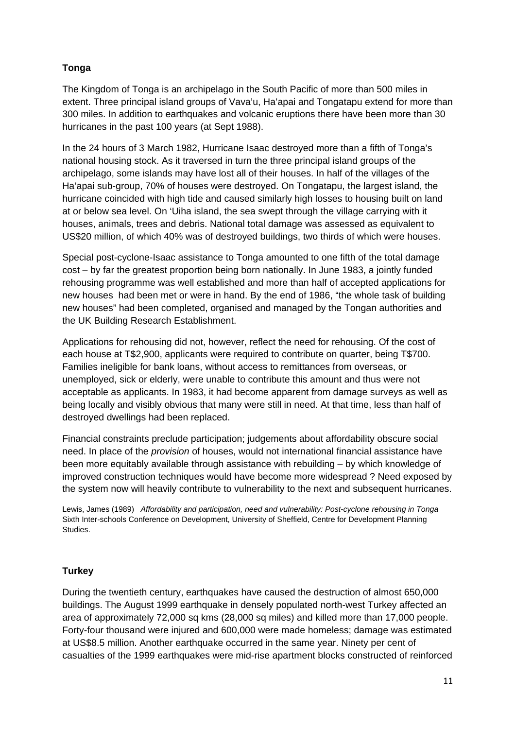## **Tonga**

The Kingdom of Tonga is an archipelago in the South Pacific of more than 500 miles in extent. Three principal island groups of Vava'u, Ha'apai and Tongatapu extend for more than 300 miles. In addition to earthquakes and volcanic eruptions there have been more than 30 hurricanes in the past 100 years (at Sept 1988).

In the 24 hours of 3 March 1982, Hurricane Isaac destroyed more than a fifth of Tonga's national housing stock. As it traversed in turn the three principal island groups of the archipelago, some islands may have lost all of their houses. In half of the villages of the Ha'apai sub-group, 70% of houses were destroyed. On Tongatapu, the largest island, the hurricane coincided with high tide and caused similarly high losses to housing built on land at or below sea level. On 'Uiha island, the sea swept through the village carrying with it houses, animals, trees and debris. National total damage was assessed as equivalent to US\$20 million, of which 40% was of destroyed buildings, two thirds of which were houses.

Special post-cyclone-Isaac assistance to Tonga amounted to one fifth of the total damage cost – by far the greatest proportion being born nationally. In June 1983, a jointly funded rehousing programme was well established and more than half of accepted applications for new houses had been met or were in hand. By the end of 1986, "the whole task of building new houses" had been completed, organised and managed by the Tongan authorities and the UK Building Research Establishment.

Applications for rehousing did not, however, reflect the need for rehousing. Of the cost of each house at T\$2,900, applicants were required to contribute on quarter, being T\$700. Families ineligible for bank loans, without access to remittances from overseas, or unemployed, sick or elderly, were unable to contribute this amount and thus were not acceptable as applicants. In 1983, it had become apparent from damage surveys as well as being locally and visibly obvious that many were still in need. At that time, less than half of destroyed dwellings had been replaced.

Financial constraints preclude participation; judgements about affordability obscure social need. In place of the *provision* of houses, would not international financial assistance have been more equitably available through assistance with rebuilding – by which knowledge of improved construction techniques would have become more widespread ? Need exposed by the system now will heavily contribute to vulnerability to the next and subsequent hurricanes.

Lewis, James (1989) *Affordability and participation, need and vulnerability: Post-cyclone rehousing in Tonga* Sixth Inter-schools Conference on Development, University of Sheffield, Centre for Development Planning Studies.

## **Turkey**

During the twentieth century, earthquakes have caused the destruction of almost 650,000 buildings. The August 1999 earthquake in densely populated north-west Turkey affected an area of approximately 72,000 sq kms (28,000 sq miles) and killed more than 17,000 people. Forty-four thousand were injured and 600,000 were made homeless; damage was estimated at US\$8.5 million. Another earthquake occurred in the same year. Ninety per cent of casualties of the 1999 earthquakes were mid-rise apartment blocks constructed of reinforced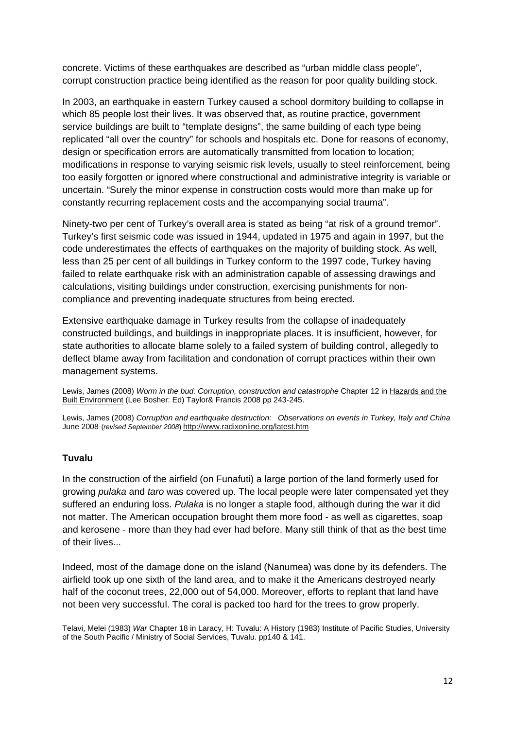concrete. Victims of these earthquakes are described as "urban middle class people", corrupt construction practice being identified as the reason for poor quality building stock.

In 2003, an earthquake in eastern Turkey caused a school dormitory building to collapse in which 85 people lost their lives. It was observed that, as routine practice, government service buildings are built to "template designs", the same building of each type being replicated "all over the country" for schools and hospitals etc. Done for reasons of economy, design or specification errors are automatically transmitted from location to location; modifications in response to varying seismic risk levels, usually to steel reinforcement, being too easily forgotten or ignored where constructional and administrative integrity is variable or uncertain. "Surely the minor expense in construction costs would more than make up for constantly recurring replacement costs and the accompanying social trauma".

Ninety-two per cent of Turkey's overall area is stated as being "at risk of a ground tremor". Turkey's first seismic code was issued in 1944, updated in 1975 and again in 1997, but the code underestimates the effects of earthquakes on the majority of building stock. As well, less than 25 per cent of all buildings in Turkey conform to the 1997 code, Turkey having failed to relate earthquake risk with an administration capable of assessing drawings and calculations, visiting buildings under construction, exercising punishments for noncompliance and preventing inadequate structures from being erected.

Extensive earthquake damage in Turkey results from the collapse of inadequately constructed buildings, and buildings in inappropriate places. It is insufficient, however, for state authorities to allocate blame solely to a failed system of building control, allegedly to deflect blame away from facilitation and condonation of corrupt practices within their own management systems.

Lewis, James (2008) *Worm in the bud: Corruption, construction and catastrophe* Chapter 12 in Hazards and the Built Environment (Lee Bosher: Ed) Taylor& Francis 2008 pp 243-245.

Lewis, James (2008) *Corruption and earthquake destruction: Observations on events in Turkey, Italy and China* June 2008 (*revised September 2008*) http://www.radixonline.org/latest.htm

#### **Tuvalu**

In the construction of the airfield (on Funafuti) a large portion of the land formerly used for growing *pulaka* and *taro* was covered up. The local people were later compensated yet they suffered an enduring loss. *Pulaka* is no longer a staple food, although during the war it did not matter. The American occupation brought them more food - as well as cigarettes, soap and kerosene - more than they had ever had before. Many still think of that as the best time of their lives...

Indeed, most of the damage done on the island (Nanumea) was done by its defenders. The airfield took up one sixth of the land area, and to make it the Americans destroyed nearly half of the coconut trees, 22,000 out of 54,000. Moreover, efforts to replant that land have not been very successful. The coral is packed too hard for the trees to grow properly.

Telavi, Melei (1983) *War* Chapter 18 in Laracy, H: Tuvalu: A History (1983) Institute of Pacific Studies, University of the South Pacific / Ministry of Social Services, Tuvalu. pp140 & 141.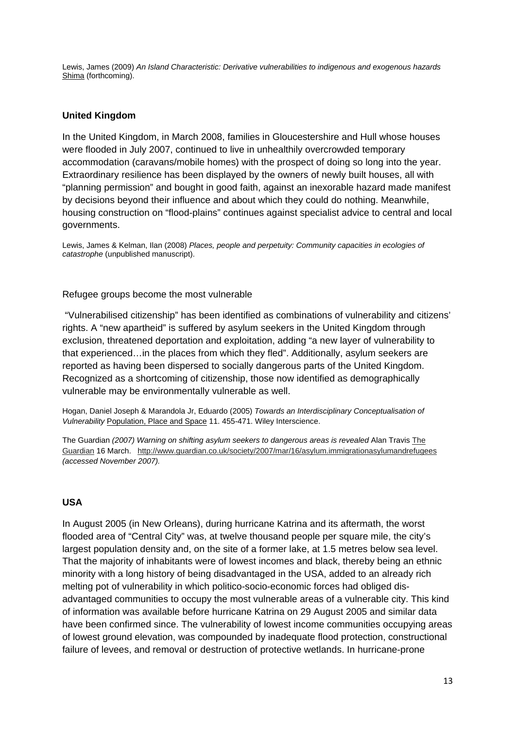Lewis, James (2009) *An Island Characteristic: Derivative vulnerabilities to indigenous and exogenous hazards*  Shima (forthcoming).

#### **United Kingdom**

In the United Kingdom, in March 2008, families in Gloucestershire and Hull whose houses were flooded in July 2007, continued to live in unhealthily overcrowded temporary accommodation (caravans/mobile homes) with the prospect of doing so long into the year. Extraordinary resilience has been displayed by the owners of newly built houses, all with "planning permission" and bought in good faith, against an inexorable hazard made manifest by decisions beyond their influence and about which they could do nothing. Meanwhile, housing construction on "flood-plains" continues against specialist advice to central and local governments.

Lewis, James & Kelman, Ilan (2008) *Places, people and perpetuity: Community capacities in ecologies of catastrophe* (unpublished manuscript).

#### Refugee groups become the most vulnerable

 "Vulnerabilised citizenship" has been identified as combinations of vulnerability and citizens' rights. A "new apartheid" is suffered by asylum seekers in the United Kingdom through exclusion, threatened deportation and exploitation, adding "a new layer of vulnerability to that experienced…in the places from which they fled". Additionally, asylum seekers are reported as having been dispersed to socially dangerous parts of the United Kingdom. Recognized as a shortcoming of citizenship, those now identified as demographically vulnerable may be environmentally vulnerable as well.

Hogan, Daniel Joseph & Marandola Jr, Eduardo (2005) *Towards an Interdisciplinary Conceptualisation of Vulnerability* Population, Place and Space 11. 455-471. Wiley Interscience.

The Guardian *(2007) Warning on shifting asylum seekers to dangerous areas is revealed* Alan Travis The Guardian 16 March. http://www.guardian.co.uk/society/2007/mar/16/asylum.immigrationasylumandrefugees *(accessed November 2007).* 

#### **USA**

In August 2005 (in New Orleans), during hurricane Katrina and its aftermath, the worst flooded area of "Central City" was, at twelve thousand people per square mile, the city's largest population density and, on the site of a former lake, at 1.5 metres below sea level. That the majority of inhabitants were of lowest incomes and black, thereby being an ethnic minority with a long history of being disadvantaged in the USA, added to an already rich melting pot of vulnerability in which politico-socio-economic forces had obliged disadvantaged communities to occupy the most vulnerable areas of a vulnerable city. This kind of information was available before hurricane Katrina on 29 August 2005 and similar data have been confirmed since. The vulnerability of lowest income communities occupying areas of lowest ground elevation, was compounded by inadequate flood protection, constructional failure of levees, and removal or destruction of protective wetlands. In hurricane-prone